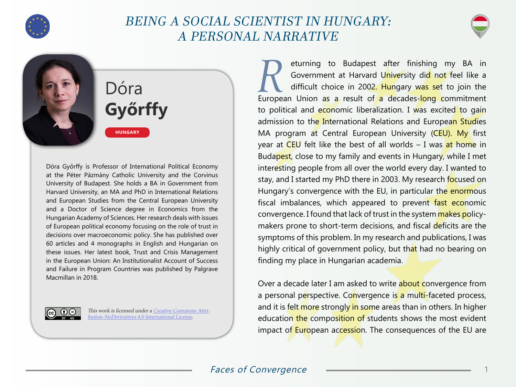

# BEING A SOCIAL SCIENTIST IN HUNGARY: A PERSONAL NARRATIVE



Dóra **Győrffy**

**HUNGARY**

Dóra Győrffy is Professor of International Political Economy at the Péter Pázmány Catholic University and the Corvinus University of Budapest. She holds a BA in Government from Harvard University, an MA and PhD in International Relations and European Studies from the Central European University and a Doctor of Science degree in Economics from the Hungarian Academy of Sciences. Her research deals with issues of European political economy focusing on the role of trust in decisions over macroeconomic policy. She has published over 60 articles and 4 monographs in English and Hungarian on these issues. Her latest book, Trust and Crisis Management in the European Union: An Institutionalist Account of Success and Failure in Program Countries was published by Palgrave Macmillan in 2018.



This work is licensed under a [Creative Commons Attri](https://creativecommons.org/licenses/by-nd/4.0/)[bution-NoDerivatives 4.0 International License](https://creativecommons.org/licenses/by-nd/4.0/).

eturning to Budapest after finishing my BA in<br>Government at Harvard University did not feel like a<br>difficult choice in 2002. Hungary was set to join the Government at Harvard U<mark>nive</mark>rsity di<mark>d not</mark> feel like a difficult choice in 2002. Hungary was set to join the European Union as a result of a decades-long commitment to political and economic liberalization. I was excited to gain admission to the International Relations and European Studies MA program at Central European University (CEU). My first year at CEU felt like the best of all worlds  $-$  I was at home in Budapest, close to my family and events in Hungary, while I met interesting people from all over the world every day. I wanted to stay, and I started my PhD there in 2003. My research focused on Hungary's convergence with the EU, in particular the enormous fiscal imbalances, which appeared to prevent fast economic convergence. I found that lack of trust in the system makes policymakers prone to short-term decisions, and fiscal deficits are the symptoms of this problem. In my research and publications, I was highly critical of government policy, but that had no bearing on finding my place in Hungarian academia.

Over a decade later I am asked to write about convergence from a personal perspective. Convergence is a multi-faceted process, and it is felt more strongly in some areas than in others. In higher education the composition of students shows the most evident impact of European accession. The consequences of the EU are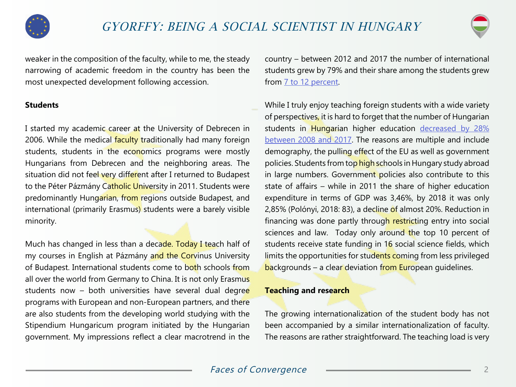



weaker in the composition of the faculty, while to me, the steady narrowing of academic freedom in the country has been the most unexpected development following accession.

# **Students**

I started my academic career at the University of Debrecen in 2006. While the medical faculty traditionally had many foreign students, students in the economics programs were mostly Hungarians from Debrecen and the neighboring areas. The situation did not feel very different after I returned to Budapest to the Péter Pázmány Catholic University in 2011. Students were predominantly Hungarian, from regions outside Budapest, and international (primarily Erasmus) students were a barely visible minority.

Much has changed in less than a decade. Today I teach half of my courses in English at Pázmány and the Corvinus University of Budapest. International students come to both schools from all over the world from Germany to China. It is not only Erasmus students now - both universities have several dual degree programs with European and non-European partners, and there are also students from the developing world studying with the Stipendium Hungaricum program initiated by the Hungarian government. My impressions reflect a clear macrotrend in the

country – between 2012 and 2017 the number of international students grew by 79% and their share among the students grew from [7 to 12 percent](https://g7.hu/kozelet/20180626/mar-minden-nyolcadik-egyetemista-kulfoldi-nem-is-mukodne-nelkuluk-a-magyar-felsooktatas/).

While I truly enjoy teaching foreign students with a wide variety of perspectives, it is hard to forget that the number of Hungarian students in Hungarian higher education [decreased by 28%](https://g7.hu/kozelet/20180626/mar-minden-nyolcadik-egyetemista-kulfoldi-nem-is-mukodne-nelkuluk-a-magyar-felsooktatas/) [between 2008 and 2017.](https://g7.hu/kozelet/20180626/mar-minden-nyolcadik-egyetemista-kulfoldi-nem-is-mukodne-nelkuluk-a-magyar-felsooktatas/) The reasons are multiple and include demography, the pulling effect of the EU as well as government policies. Students from top high schools in Hungary study abroad in large numbers. Government policies also contribute to this state of affairs – while in 2011 the share of higher education expenditure in terms of GDP was 3,46%, by 2018 it was only 2,85% (Polónyi, 2018: 83), a decline of almost 20%. Reduction in financing was done partly through restricting entry into social sciences and law. Today only around the top 10 percent of students receive state funding in 16 social science fields, which limits the opportunities for students coming from less privileged backgrounds – a clear deviation from European guidelines.

#### **Teaching and research**

The growing internationalization of the student body has not been accompanied by a similar internationalization of faculty. The reasons are rather straightforward. The teaching load is very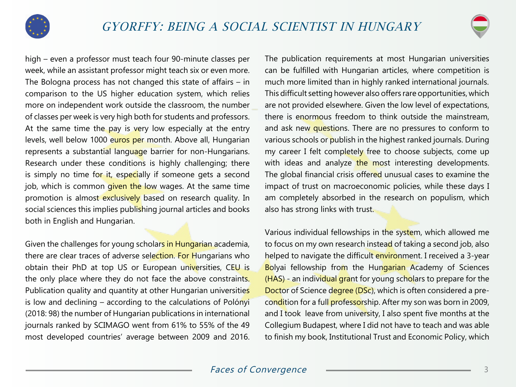



high – even a professor must teach four 90-minute classes per week, while an assistant professor might teach six or even more. The Bologna process has not changed this state of affairs – in comparison to the US higher education system, which relies more on independent work outside the classroom, the number of classes per week is very high both for students and professors. At the same time the pay is very low especially at the entry levels, well below 1000 euros per month. Above all, Hungarian represents a substantial language barrier for non-Hungarians. Research under these conditions is highly challenging; there is simply no time for it, especially if someone gets a second job, which is common given the low wages. At the same time promotion is almost exclusively based on research quality. In social sciences this implies publishing journal articles and books both in English and Hungarian.

Given the challenges for young scholars in Hungarian academia, there are clear traces of adverse selection. For Hungarians who obtain their PhD at top US or European universities, CEU is the only place where they do not face the above constraints. Publication quality and quantity at other Hungarian universities is low and declining – according to the calculations of Polónyi (2018: 98) the number of Hungarian publications in international journals ranked by SCIMAGO went from 61% to 55% of the 49 most developed countries' average between 2009 and 2016.

The publication requirements at most Hungarian universities can be fulfilled with Hungarian articles, where competition is much more limited than in highly ranked international journals. This difficult setting however also offers rare opportunities, which are not provided elsewhere. Given the low level of expectations, there is enormous freedom to think outside the mainstream, and ask new questions. There are no pressures to conform to various schools or publish in the highest ranked journals. During my career I felt completely free to choose subjects, come up with ideas and analyze the most interesting developments. The global financial crisis offered unusual cases to examine the impact of trust on macroeconomic policies, while these days I am completely absorbed in the research on populism, which also has strong links with trust.

Various individual fellowships in the system, which allowed me to focus on my own research instead of taking a second job, also helped to navigate the difficult environment. I received a 3-year Bolyai fellowship from the Hungarian Academy of Sciences (HAS) - an individual grant for young scholars to prepare for the Doctor of Science degree (DSc), which is often considered a precondition for a full professorship. After my son was born in 2009, and I took leave from university, I also spent five months at the Collegium Budapest, where I did not have to teach and was able to finish my book, Institutional Trust and Economic Policy, which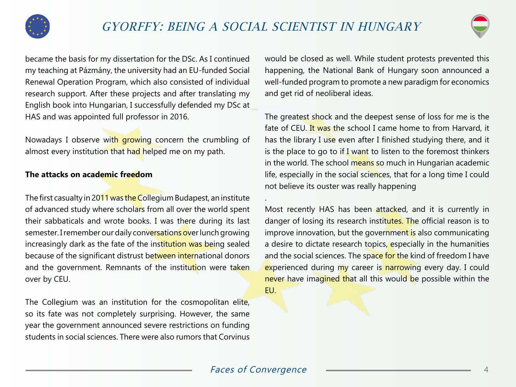

.



became the basis for my dissertation for the DSc. As I continued my teaching at Pázmány, the university had an EU-funded Social Renewal Operation Program, which also consisted of individual research support. After these projects and after translating my English book into Hungarian, I successfully defended my DSc at HAS and was appointed full professor in 2016.

Nowadays I observe with growing concern the crumbling of almost every institution that had helped me on my path.

### **The attacks on academic freedom**

The first casualty in 2011 was the Collegium Budapest, an institute of advanced study where scholars from all over the world spent their sabbaticals and wrote books. I was there during its last semester. I remember our daily conversations over lunch growing increasingly dark as the fate of the institution was being sealed because of the significant distrust between international donors and the government. Remnants of the institution were taken over by CEU.

The Collegium was an institution for the cosmopolitan elite, so its fate was not completely surprising. However, the same year the government announced severe restrictions on funding students in social sciences. There were also rumors that Corvinus would be closed as well. While student protests prevented this happening, the National Bank of Hungary soon announced a well-funded program to promote a new paradigm for economics and get rid of neoliberal ideas.

The greatest shock and the deepest sense of loss for me is the fate of CEU. It was the school I came home to from Harvard, it has the library I use even after I finished studying there, and it is the place to go to if I want to listen to the foremost thinkers in the world. The school means so much in Hungarian academic life, especially in the social sciences, that for a long time I could not believe its ouster was really happening

Most recently HAS has been attacked, and it is currently in danger of losing its research institutes. The official reason is to improve innovation, but the government is also communicating a desire to dictate research topics, especially in the humanities and the social sciences. The space for the kind of freedom I have experienced during my career is narrowing every day. I could never have imagined that all this would be possible within the EU.